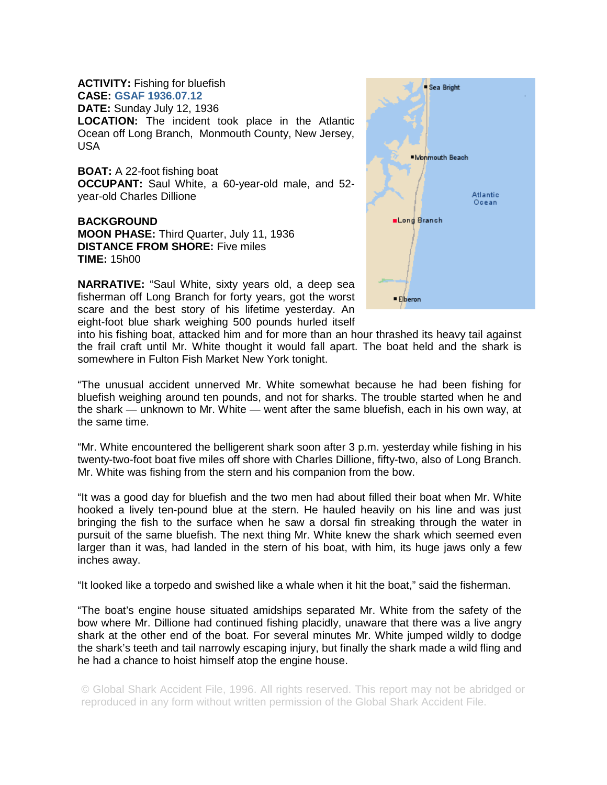## **ACTIVITY:** Fishing for bluefish **CASE: GSAF 1936.07.12 DATE:** Sunday July 12, 1936 **LOCATION:** The incident took place in the Atlantic Ocean off Long Branch, Monmouth County, New Jersey, USA

**BOAT:** A 22-foot fishing boat **OCCUPANT:** Saul White, a 60-year-old male, and 52 year-old Charles Dillione

**BACKGROUND MOON PHASE:** Third Quarter, July 11, 1936 **DISTANCE FROM SHORE:** Five miles **TIME:** 15h00

**NARRATIVE:** "Saul White, sixty years old, a deep sea fisherman off Long Branch for forty years, got the worst scare and the best story of his lifetime yesterday. An eight-foot blue shark weighing 500 pounds hurled itself



into his fishing boat, attacked him and for more than an hour thrashed its heavy tail against the frail craft until Mr. White thought it would fall apart. The boat held and the shark is somewhere in Fulton Fish Market New York tonight.

"The unusual accident unnerved Mr. White somewhat because he had been fishing for bluefish weighing around ten pounds, and not for sharks. The trouble started when he and the shark — unknown to Mr. White — went after the same bluefish, each in his own way, at the same time.

"Mr. White encountered the belligerent shark soon after 3 p.m. yesterday while fishing in his twenty-two-foot boat five miles off shore with Charles Dillione, fifty-two, also of Long Branch. Mr. White was fishing from the stern and his companion from the bow.

"It was a good day for bluefish and the two men had about filled their boat when Mr. White hooked a lively ten-pound blue at the stern. He hauled heavily on his line and was just bringing the fish to the surface when he saw a dorsal fin streaking through the water in pursuit of the same bluefish. The next thing Mr. White knew the shark which seemed even larger than it was, had landed in the stern of his boat, with him, its huge jaws only a few inches away.

"It looked like a torpedo and swished like a whale when it hit the boat," said the fisherman.

"The boat's engine house situated amidships separated Mr. White from the safety of the bow where Mr. Dillione had continued fishing placidly, unaware that there was a live angry shark at the other end of the boat. For several minutes Mr. White jumped wildly to dodge the shark's teeth and tail narrowly escaping injury, but finally the shark made a wild fling and he had a chance to hoist himself atop the engine house.

© Global Shark Accident File, 1996. All rights reserved. This report may not be abridged or reproduced in any form without written permission of the Global Shark Accident File.